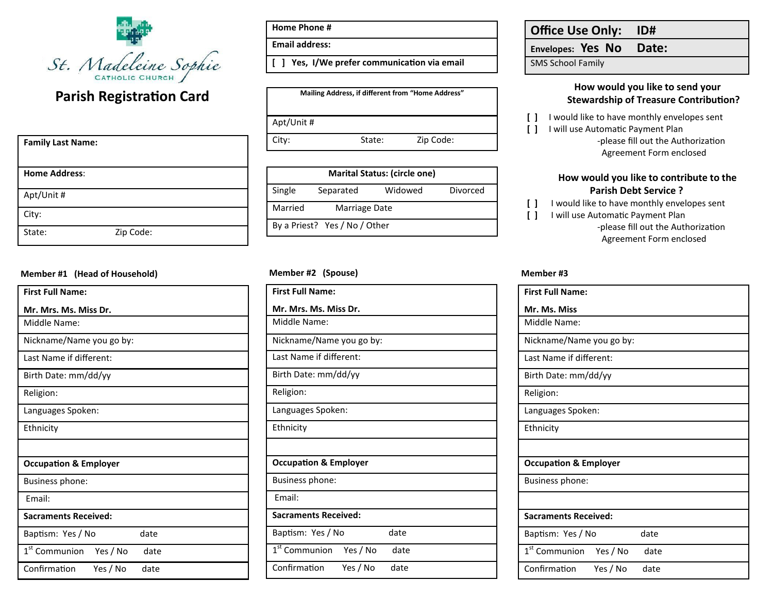

# **Parish Registration Card**

| <b>Family Last Name:</b> |           |
|--------------------------|-----------|
| <b>Home Address:</b>     |           |
| Apt/Unit #               |           |
| City:                    |           |
| State:                   | Zip Code: |

#### **Member #1 (Head of Household) Member #2 (Spouse)**

| <b>First Full Name:</b>            |          |      |  |
|------------------------------------|----------|------|--|
| Mr. Mrs. Ms. Miss Dr.              |          |      |  |
| Middle Name:                       |          |      |  |
| Nickname/Name you go by:           |          |      |  |
| Last Name if different:            |          |      |  |
| Birth Date: mm/dd/yy               |          |      |  |
| Religion:                          |          |      |  |
| Languages Spoken:                  |          |      |  |
| Ethnicity                          |          |      |  |
|                                    |          |      |  |
| <b>Occupation &amp; Employer</b>   |          |      |  |
| Business phone:                    |          |      |  |
| Fmail:                             |          |      |  |
| <b>Sacraments Received:</b>        |          |      |  |
| Baptism: Yes / No                  |          | date |  |
| 1 <sup>st</sup> Communion Yes / No |          | date |  |
| Confirmation                       | Yes / No | date |  |

**Home Phone #**

**Email address:**

**[ ] Yes, I/We prefer communicaton via email**

| Mailing Address, if different from "Home Address" |        |           |  |  |
|---------------------------------------------------|--------|-----------|--|--|
| Apt/Unit #                                        |        |           |  |  |
| City:                                             | State: | Zip Code: |  |  |

| <b>Marital Status: (circle one)</b> |                               |         |          |  |
|-------------------------------------|-------------------------------|---------|----------|--|
| Single                              | Separated                     | Widowed | Divorced |  |
| Married                             | Marriage Date                 |         |          |  |
|                                     | By a Priest? Yes / No / Other |         |          |  |

| <b>First Full Name:</b>               |      |  |
|---------------------------------------|------|--|
| Mr. Mrs. Ms. Miss Dr.                 |      |  |
| Middle Name:                          |      |  |
| Nickname/Name you go by:              |      |  |
| Last Name if different:               |      |  |
| Birth Date: mm/dd/yy                  |      |  |
| Religion:                             |      |  |
| Languages Spoken:                     |      |  |
| Ethnicity                             |      |  |
|                                       |      |  |
| <b>Occupation &amp; Employer</b>      |      |  |
| Business phone:                       |      |  |
| Email:                                |      |  |
| <b>Sacraments Received:</b>           |      |  |
| Baptism: Yes / No                     | date |  |
| 1 <sup>st</sup> Communion<br>Yes / No | date |  |
| Confirmation<br>Yes / No              | date |  |
|                                       |      |  |

## **Office Use Only: ID#**

**Envelopes: Yes No Date:**

SMS School Family

### **How would you like to send your Stewardship of Treasure Contributon?**

- **[ ]** I would like to have monthly envelopes sent
- [ ] I will use Automatic Payment Plan -please fill out the Authorization Agreement Form enclosed

### **How would you like to contribute to the Parish Debt Service ?**

**[ ]** I would like to have monthly envelopes sent

**[ ] I will use Automatic Payment Plan** -please fill out the Authorization Agreement Form enclosed

#### **Member #3**

| <b>First Full Name:</b>                 |          |      |  |
|-----------------------------------------|----------|------|--|
| Mr. Ms. Miss                            |          |      |  |
| Middle Name:                            |          |      |  |
| Nickname/Name you go by:                |          |      |  |
| Last Name if different:                 |          |      |  |
| Birth Date: mm/dd/yy                    |          |      |  |
| Religion:                               |          |      |  |
| Languages Spoken:                       |          |      |  |
| Ethnicity                               |          |      |  |
|                                         |          |      |  |
| <b>Occupation &amp; Employer</b>        |          |      |  |
| Business phone:                         |          |      |  |
|                                         |          |      |  |
| <b>Sacraments Received:</b>             |          |      |  |
| Baptism: Yes / No                       |          | date |  |
| 1 <sup>st</sup> Communion Yes / No date |          |      |  |
| Confirmation                            | Yes / No | date |  |